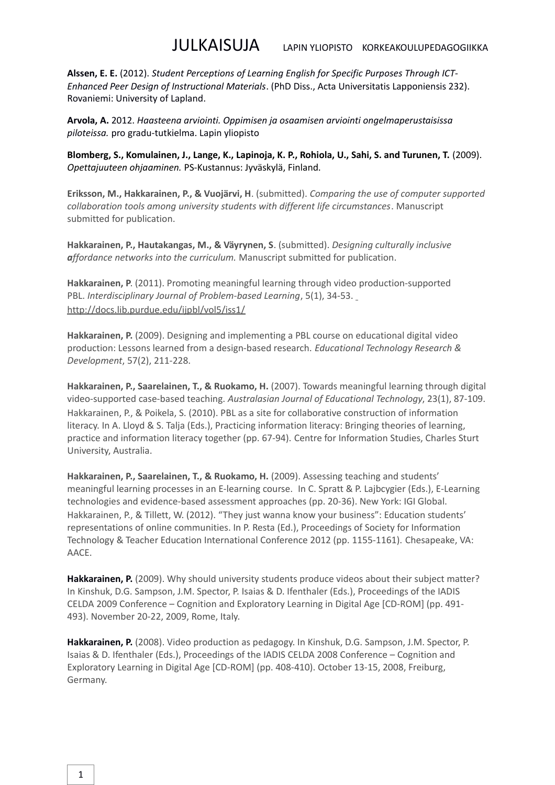**Alssen, E. E.** (2012). *Student Perceptions of Learning English for Specific Purposes Through ICT-Enhanced Peer Design of Instructional Materials*. (PhD Diss., Acta Universitatis Lapponiensis 232). Rovaniemi: University of Lapland.

**Arvola, A.** 2012. *Haasteena arviointi. Oppimisen ja osaamisen arviointi ongelmaperustaisissa piloteissa.* pro gradu-tutkielma. Lapin yliopisto

**Blomberg, S., Komulainen, J., Lange, K., Lapinoja, K. P., Rohiola, U., Sahi, S. and Turunen, T.** (2009). *Opettajuuteen ohjaaminen.* PS-Kustannus: Jyväskylä, Finland.

**Eriksson, M., Hakkarainen, P., & Vuojärvi, H**. (submitted). *Comparing the use of computer supported collaboration tools among university students with different life circumstances*. Manuscript submitted for publication.

**Hakkarainen, P., Hautakangas, M., & Väyrynen, S**. (submitted). *Designing culturally inclusive affordance networks into the curriculum.* Manuscript submitted for publication.

**Hakkarainen, P**. (2011). Promoting meaningful learning through video production-supported PBL. *Interdisciplinary Journal of Problem-based Learning*, 5(1), 34-53. <http://docs.lib.purdue.edu/ijpbl/vol5/iss1/>

**Hakkarainen, P.** (2009). Designing and implementing a PBL course on educational digital video production: Lessons learned from a design-based research. *Educational Technology Research & Development*, 57(2), 211-228.

**Hakkarainen, P., Saarelainen, T., & Ruokamo, H.** (2007). Towards meaningful learning through digital video-supported case-based teaching. *Australasian Journal of Educational Technology*, 23(1), 87-109. Hakkarainen, P., & Poikela, S. (2010). PBL as a site for collaborative construction of information literacy. In A. Lloyd & S. Talja (Eds.), Practicing information literacy: Bringing theories of learning, practice and information literacy together (pp. 67-94). Centre for Information Studies, Charles Sturt University, Australia.

**Hakkarainen, P., Saarelainen, T., & Ruokamo, H.** (2009). Assessing teaching and students' meaningful learning processes in an E-learning course. In C. Spratt & P. Lajbcygier (Eds.), E-Learning technologies and evidence-based assessment approaches (pp. 20-36). New York: IGI Global. Hakkarainen, P., & Tillett, W. (2012). "They just wanna know your business": Education students' representations of online communities. In P. Resta (Ed.), Proceedings of Society for Information Technology & Teacher Education International Conference 2012 (pp. 1155-1161). Chesapeake, VA: AACE.

Hakkarainen, P. (2009). Why should university students produce videos about their subject matter? In Kinshuk, D.G. Sampson, J.M. Spector, P. Isaias & D. Ifenthaler (Eds.), Proceedings of the IADIS CELDA 2009 Conference – Cognition and Exploratory Learning in Digital Age [CD-ROM] (pp. 491- 493). November 20-22, 2009, Rome, Italy.

**Hakkarainen, P.** (2008). Video production as pedagogy. In Kinshuk, D.G. Sampson, J.M. Spector, P. Isaias & D. Ifenthaler (Eds.), Proceedings of the IADIS CELDA 2008 Conference – Cognition and Exploratory Learning in Digital Age [CD-ROM] (pp. 408-410). October 13-15, 2008, Freiburg, Germany.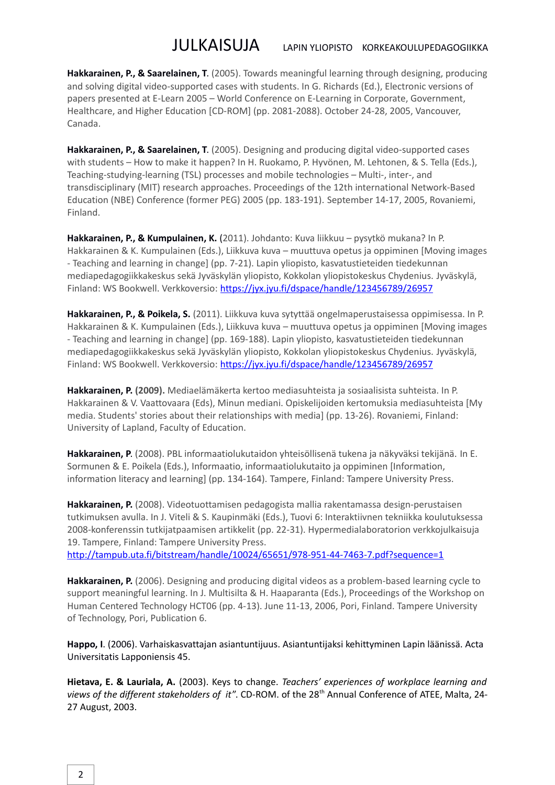**Hakkarainen, P., & Saarelainen, T**. (2005). Towards meaningful learning through designing, producing and solving digital video-supported cases with students. In G. Richards (Ed.), Electronic versions of papers presented at E-Learn 2005 – World Conference on E-Learning in Corporate, Government, Healthcare, and Higher Education [CD-ROM] (pp. 2081-2088). October 24-28, 2005, Vancouver, Canada.

**Hakkarainen, P., & Saarelainen, T**. (2005). Designing and producing digital video-supported cases with students – How to make it happen? In H. Ruokamo, P. Hyvönen, M. Lehtonen, & S. Tella (Eds.), Teaching-studying-learning (TSL) processes and mobile technologies – Multi-, inter-, and transdisciplinary (MIT) research approaches. Proceedings of the 12th international Network-Based Education (NBE) Conference (former PEG) 2005 (pp. 183-191). September 14-17, 2005, Rovaniemi, Finland.

**Hakkarainen, P., & Kumpulainen, K.** (2011). Johdanto: Kuva liikkuu – pysytkö mukana? In P. Hakkarainen & K. Kumpulainen (Eds.), Liikkuva kuva – muuttuva opetus ja oppiminen [Moving images - Teaching and learning in change] (pp. 7-21). Lapin yliopisto, kasvatustieteiden tiedekunnan mediapedagogiikkakeskus sekä Jyväskylän yliopisto, Kokkolan yliopistokeskus Chydenius. Jyväskylä, Finland: WS Bookwell. Verkkoversio:<https://jyx.jyu.fi/dspace/handle/123456789/26957>

**Hakkarainen, P., & Poikela, S.** (2011). Liikkuva kuva sytyttää ongelmaperustaisessa oppimisessa. In P. Hakkarainen & K. Kumpulainen (Eds.), Liikkuva kuva – muuttuva opetus ja oppiminen [Moving images - Teaching and learning in change] (pp. 169-188). Lapin yliopisto, kasvatustieteiden tiedekunnan mediapedagogiikkakeskus sekä Jyväskylän yliopisto, Kokkolan yliopistokeskus Chydenius. Jyväskylä, Finland: WS Bookwell. Verkkoversio:<https://jyx.jyu.fi/dspace/handle/123456789/26957>

**Hakkarainen, P. (2009).** Mediaelämäkerta kertoo mediasuhteista ja sosiaalisista suhteista. In P. Hakkarainen & V. Vaattovaara (Eds), Minun mediani. Opiskelijoiden kertomuksia mediasuhteista [My media. Students' stories about their relationships with media] (pp. 13-26). Rovaniemi, Finland: University of Lapland, Faculty of Education.

**Hakkarainen, P**. (2008). PBL informaatiolukutaidon yhteisöllisenä tukena ja näkyväksi tekijänä. In E. Sormunen & E. Poikela (Eds.), Informaatio, informaatiolukutaito ja oppiminen [Information, information literacy and learning] (pp. 134-164). Tampere, Finland: Tampere University Press.

**Hakkarainen, P.** (2008). Videotuottamisen pedagogista mallia rakentamassa design-perustaisen tutkimuksen avulla. In J. Viteli & S. Kaupinmäki (Eds.), Tuovi 6: Interaktiivnen tekniikka koulutuksessa 2008-konferenssin tutkijatpaamisen artikkelit (pp. 22-31). Hypermedialaboratorion verkkojulkaisuja 19. Tampere, Finland: Tampere University Press.

<http://tampub.uta.fi/bitstream/handle/10024/65651/978-951-44-7463-7.pdf?sequence=1>

**Hakkarainen, P.** (2006). Designing and producing digital videos as a problem-based learning cycle to support meaningful learning. In J. Multisilta & H. Haaparanta (Eds.), Proceedings of the Workshop on Human Centered Technology HCT06 (pp. 4-13). June 11-13, 2006, Pori, Finland. Tampere University of Technology, Pori, Publication 6.

**Happo, I**. (2006). Varhaiskasvattajan asiantuntijuus. Asiantuntijaksi kehittyminen Lapin läänissä. Acta Universitatis Lapponiensis 45.

**Hietava, E. & Lauriala, A.** (2003). Keys to change. *Teachers' experiences of workplace learning and* views of the different stakeholders of it". CD-ROM. of the 28<sup>th</sup> Annual Conference of ATEE, Malta, 24-27 August, 2003.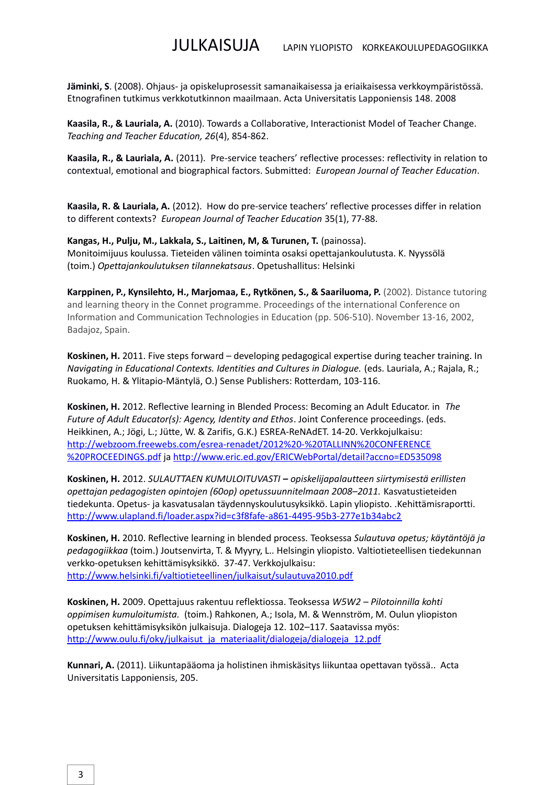**Jäminki, S**. (2008). Ohjaus- ja opiskeluprosessit samanaikaisessa ja eriaikaisessa verkkoympäristössä. Etnografinen tutkimus verkkotutkinnon maailmaan. Acta Universitatis Lapponiensis 148. 2008

**Kaasila, R., & Lauriala, A.** (2010). Towards a Collaborative, Interactionist Model of Teacher Change. *Teaching and Teacher Education, 26*(4), 854-862.

**Kaasila, R., & Lauriala, A.** (2011). Pre-service teachers' reflective processes: reflectivity in relation to contextual, emotional and biographical factors. Submitted: *European Journal of Teacher Education*.

**Kaasila, R. & Lauriala, A.** (2012). How do pre-service teachers' reflective processes differ in relation to different contexts? *European Journal of Teacher Education* 35(1), 77-88.

**Kangas, H., Pulju, M., Lakkala, S., Laitinen, M, & Turunen, T.** (painossa). Monitoimijuus koulussa. Tieteiden välinen toiminta osaksi opettajankoulutusta. K. Nyyssölä (toim.) *Opettajankoulutuksen tilannekatsaus*. Opetushallitus: Helsinki

**Karppinen, P., Kynsilehto, H., Marjomaa, E., Rytkönen, S., & Saariluoma, P.** (2002). Distance tutoring and learning theory in the Connet programme. Proceedings of the international Conference on Information and Communication Technologies in Education (pp. 506-510). November 13-16, 2002, Badajoz, Spain.

**Koskinen, H.** 2011. Five steps forward – developing pedagogical expertise during teacher training. In *Navigating in Educational Contexts. Identities and Cultures in Dialogue.* (eds. Lauriala, A.; Rajala, R.; Ruokamo, H. & Ylitapio-Mäntylä, O.) Sense Publishers: Rotterdam, 103-116.

**Koskinen, H.** 2012. Reflective learning in Blended Process: Becoming an Adult Educator. in *The Future of Adult Educator(s): Agency, Identity and Ethos*. Joint Conference proceedings. (eds. Heikkinen, A.; Jögi, L.; Jütte, W. & Zarifis, G.K.) ESREA-ReNAdET. 14-20. Verkkojulkaisu: [http://webzoom.freewebs.com/esrea-renadet/2012%20-%20TALLINN%20CONFERENCE](http://webzoom.freewebs.com/esrea-renadet/2012%20-%20TALLINNCONFERENCEPROCEEDINGS.pdf) [%20PROCEEDINGS.pdf](http://webzoom.freewebs.com/esrea-renadet/2012%20-%20TALLINNCONFERENCEPROCEEDINGS.pdf) ja<http://www.eric.ed.gov/ERICWebPortal/detail?accno=ED535098>

**Koskinen, H.** 2012. *SULAUTTAEN KUMULOITUVASTI – opiskelijapalautteen siirtymisestä erillisten opettajan pedagogisten opintojen (60op) opetussuunnitelmaan 2008–2011.* Kasvatustieteiden tiedekunta. Opetus- ja kasvatusalan täydennyskoulutusyksikkö. Lapin yliopisto. .Kehittämisraportti. <http://www.ulapland.fi/loader.aspx?id=c3f8fafe-a861-4495-95b3-277e1b34abc2>

**Koskinen, H.** 2010. Reflective learning in blended process. Teoksessa *Sulautuva opetus; käytäntöjä ja pedagogiikkaa* (toim.) Joutsenvirta, T. & Myyry, L.. Helsingin yliopisto. Valtiotieteellisen tiedekunnan verkko-opetuksen kehittämisyksikkö. 37-47. Verkkojulkaisu: <http://www.helsinki.fi/valtiotieteellinen/julkaisut/sulautuva2010.pdf>

**Koskinen, H.** 2009. Opettajuus rakentuu reflektiossa. Teoksessa *W5W2 – Pilotoinnilla kohti oppimisen kumuloitumista.* (toim.) Rahkonen, A.; Isola, M. & Wennström, M. Oulun yliopiston opetuksen kehittämisyksikön julkaisuja. Dialogeja 12. 102–117. Saatavissa myös: [http://www.oulu.fi/oky/julkaisut\\_ja\\_materiaalit/dialogeja/dialogeja\\_12.pdf](http://www.oulu.fi/oky/julkaisut_ja_materiaalit/dialogeja/dialogeja_12.pdf)

**Kunnari, A.** (2011). Liikuntapääoma ja holistinen ihmiskäsitys liikuntaa opettavan työssä.. Acta Universitatis Lapponiensis, 205.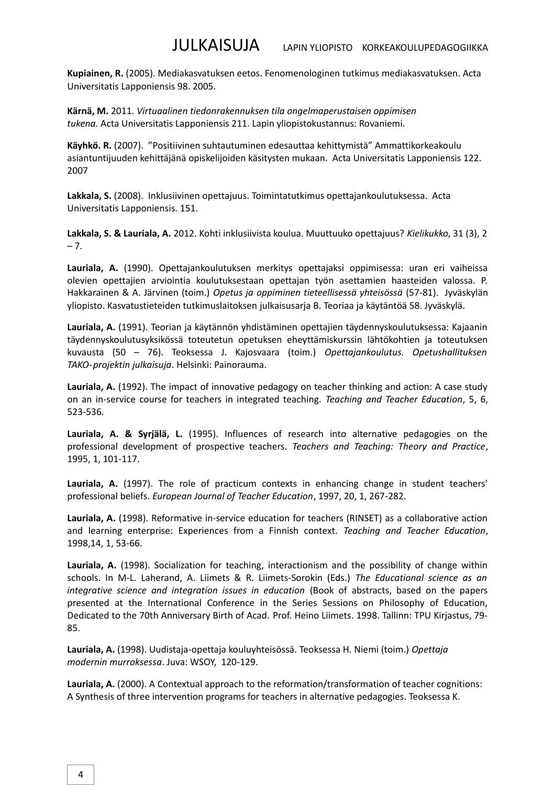**Kupiainen, R.** (2005). Mediakasvatuksen eetos. Fenomenologinen tutkimus mediakasvatuksen. Acta Universitatis Lapponiensis 98. 2005.

**Kärnä, M.** 2011. *Virtuaalinen tiedonrakennuksen tila ongelmaperustaisen oppimisen tukena.* Acta Universitatis Lapponiensis 211. Lapin yliopistokustannus: Rovaniemi.

**Käyhkö. R.** (2007). "Positiivinen suhtautuminen edesauttaa kehittymistä" Ammattikorkeakoulu asiantuntijuuden kehittäjänä opiskelijoiden käsitysten mukaan. Acta Universitatis Lapponiensis 122. 2007

**Lakkala, S.** (2008). Inklusiivinen opettajuus. Toimintatutkimus opettajankoulutuksessa. Acta Universitatis Lapponiensis. 151.

**Lakkala, S. & Lauriala, A.** 2012. Kohti inklusiivista koulua. Muuttuuko opettajuus? *Kielikukko*, 31 (3), 2  $-7.$ 

**Lauriala, A.** (1990). Opettajankoulutuksen merkitys opettajaksi oppimisessa: uran eri vaiheissa olevien opettajien arviointia koulutuksestaan opettajan työn asettamien haasteiden valossa. P. Hakkarainen & A. Järvinen (toim.) *Opetus ja oppiminen tieteellisessä yhteisössä* (57-81). Jyväskylän yliopisto. Kasvatustieteiden tutkimuslaitoksen julkaisusarja B. Teoriaa ja käytäntöä 58. Jyväskylä.

**Lauriala, A.** (1991). Teorian ja käytännön yhdistäminen opettajien täydennyskoulutuksessa: Kajaanin täydennyskoulutusyksikössä toteutetun opetuksen eheyttämiskurssin lähtökohtien ja toteutuksen kuvausta (50 – 76). Teoksessa J. Kajosvaara (toim.) *Opettajankoulutus. Opetushallituksen TAKO-projektin julkaisuja*. Helsinki: Painorauma.

**Lauriala, A.** (1992). The impact of innovative pedagogy on teacher thinking and action: A case study on an in-service course for teachers in integrated teaching. *Teaching and Teacher Education*, 5, 6, 523-536.

**Lauriala, A. & Syrjälä, L.** (1995). Influences of research into alternative pedagogies on the professional development of prospective teachers. *Teachers and Teaching: Theory and Practice*, 1995, 1, 101-117.

**Lauriala, A.** (1997). The role of practicum contexts in enhancing change in student teachers' professional beliefs. *European Journal of Teacher Education*, 1997, 20, 1, 267-282.

**Lauriala, A.** (1998). Reformative in-service education for teachers (RINSET) as a collaborative action and learning enterprise: Experiences from a Finnish context. *Teaching and Teacher Education*, 1998,14, 1, 53-66.

**Lauriala, A.** (1998). Socialization for teaching, interactionism and the possibility of change within schools. In M-L. Laherand, A. Liimets & R. Liimets-Sorokin (Eds.) *The Educational science as an integrative science and integration issues in education* (Book of abstracts, based on the papers presented at the International Conference in the Series Sessions on Philosophy of Education, Dedicated to the 70th Anniversary Birth of Acad. Prof. Heino Liimets. 1998. Tallinn: TPU Kirjastus, 79- 85.

**Lauriala, A.** (1998). Uudistaja-opettaja kouluyhteisössä. Teoksessa H. Niemi (toim.) *Opettaja modernin murroksessa*. Juva: WSOY, 120-129.

**Lauriala, A.** (2000). A Contextual approach to the reformation/transformation of teacher cognitions: A Synthesis of three intervention programs for teachers in alternative pedagogies. Teoksessa K.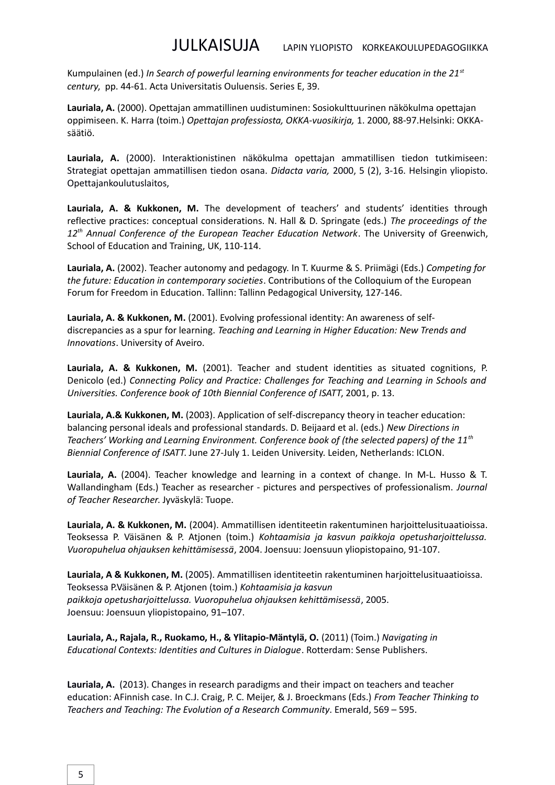Kumpulainen (ed.) *In Search of powerful learning environments for teacher education in the 21st century*, pp. 44-61. Acta Universitatis Ouluensis. Series E, 39.

**Lauriala, A.** (2000). Opettajan ammatillinen uudistuminen: Sosiokulttuurinen näkökulma opettajan oppimiseen. K. Harra (toim.) *Opettajan professiosta, OKKA-vuosikirja,* 1. 2000, 88-97.Helsinki: OKKAsäätiö.

**Lauriala, A.** (2000). Interaktionistinen näkökulma opettajan ammatillisen tiedon tutkimiseen: Strategiat opettajan ammatillisen tiedon osana. *Didacta varia,* 2000, 5 (2), 3-16. Helsingin yliopisto. Opettajankoulutuslaitos,

**Lauriala, A. & Kukkonen, M.** The development of teachers' and students' identities through reflective practices: conceptual considerations. N. Hall & D. Springate (eds.) *The proceedings of the 12th Annual Conference of the European Teacher Education Network*. The University of Greenwich, School of Education and Training, UK, 110-114.

**Lauriala, A.** (2002). Teacher autonomy and pedagogy. In T. Kuurme & S. Priimägi (Eds.) *Competing for the future: Education in contemporary societies*. Contributions of the Colloquium of the European Forum for Freedom in Education. Tallinn: Tallinn Pedagogical University, 127-146.

**Lauriala, A. & Kukkonen, M.** (2001). Evolving professional identity: An awareness of selfdiscrepancies as a spur for learning. *Teaching and Learning in Higher Education: New Trends and Innovations*. University of Aveiro.

**Lauriala, A. & Kukkonen, M.** (2001). Teacher and student identities as situated cognitions, P. Denicolo (ed.) *Connecting Policy and Practice: Challenges for Teaching and Learning in Schools and Universities. Conference book of 10th Biennial Conference of ISATT*, 2001, p. 13.

**Lauriala, A.& Kukkonen, M.** (2003). Application of self-discrepancy theory in teacher education: balancing personal ideals and professional standards. D. Beijaard et al. (eds.) *New Directions in Teachers' Working and Learning Environment. Conference book of (the selected papers) of the 11th Biennial Conference of ISATT*. June 27-July 1. Leiden University. Leiden, Netherlands: ICLON.

**Lauriala, A.** (2004). Teacher knowledge and learning in a context of change. In M-L. Husso & T. Wallandingham (Eds.) Teacher as researcher - pictures and perspectives of professionalism. *Journal of Teacher Researcher*. Jyväskylä: Tuope.

**Lauriala, A. & Kukkonen, M.** (2004). Ammatillisen identiteetin rakentuminen harjoittelusituaatioissa. Teoksessa P. Väisänen & P. Atjonen (toim.) *Kohtaamisia ja kasvun paikkoja opetusharjoittelussa. Vuoropuhelua ohjauksen kehittämisessä*, 2004. Joensuu: Joensuun yliopistopaino, 91-107.

**Lauriala, A & Kukkonen, M.** (2005). Ammatillisen identiteetin rakentuminen harjoittelusituaatioissa. Teoksessa P.Väisänen & P. Atjonen (toim.) *Kohtaamisia ja kasvun paikkoja opetusharjoittelussa. Vuoropuhelua ohjauksen kehittämisessä*, 2005. Joensuu: Joensuun yliopistopaino, 91–107.

**Lauriala, A., Rajala, R., Ruokamo, H., & Ylitapio-Mäntylä, O.** (2011) (Toim.) *Navigating in Educational Contexts: Identities and Cultures in Dialogue*. Rotterdam: Sense Publishers.

**Lauriala, A.** (2013). Changes in research paradigms and their impact on teachers and teacher education: AFinnish case. In C.J. Craig, P. C. Meijer, & J. Broeckmans (Eds.) *From Teacher Thinking to Teachers and Teaching: The Evolution of a Research Community*. Emerald, 569 – 595.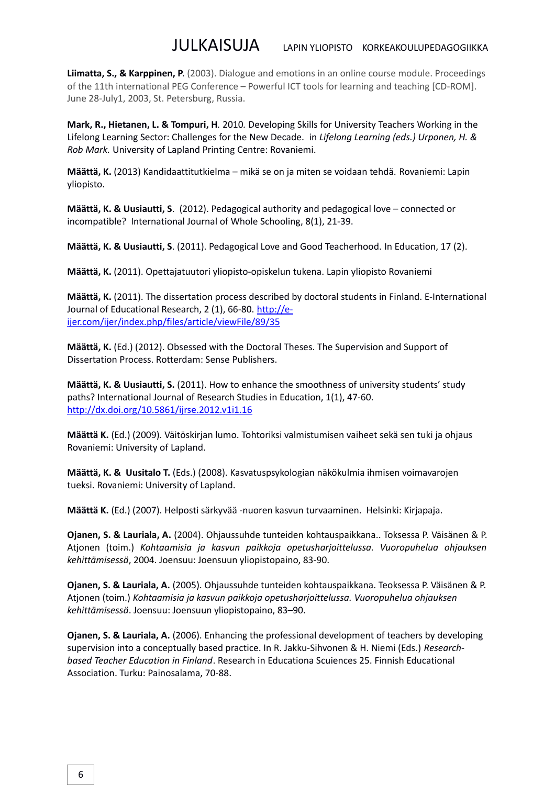**Liimatta, S., & Karppinen, P**. (2003). Dialogue and emotions in an online course module. Proceedings of the 11th international PEG Conference – Powerful ICT tools for learning and teaching [CD-ROM]. June 28-July1, 2003, St. Petersburg, Russia.

**Mark, R., Hietanen, L. & Tompuri, H**. 2010. Developing Skills for University Teachers Working in the Lifelong Learning Sector: Challenges for the New Decade.in *Lifelong Learning (eds.) Urponen, H. & Rob Mark.* University of Lapland Printing Centre: Rovaniemi.

**Määttä, K.** (2013) Kandidaattitutkielma – mikä se on ja miten se voidaan tehdä. Rovaniemi: Lapin yliopisto.

**Määttä, K. & Uusiautti, S**. (2012). Pedagogical authority and pedagogical love – connected or incompatible? International Journal of Whole Schooling, 8(1), 21-39.

**Määttä, K. & Uusiautti, S**. (2011). Pedagogical Love and Good Teacherhood. In Education, 17 (2).

**Määttä, K.** (2011). Opettajatuutori yliopisto-opiskelun tukena. Lapin yliopisto Rovaniemi

**Määttä, K.** (2011). The dissertation process described by doctoral students in Finland. E-International Journal of Educational Research, 2 (1), 66-80. [http://e](http://e-ijer.com/ijer/index.php/files/article/viewFile/89/35)[ijer.com/ijer/index.php/files/article/viewFile/89/35](http://e-ijer.com/ijer/index.php/files/article/viewFile/89/35)

**Määttä, K.** (Ed.) (2012). Obsessed with the Doctoral Theses. The Supervision and Support of Dissertation Process. Rotterdam: Sense Publishers.

**Määttä, K. & Uusiautti, S.** (2011). How to enhance the smoothness of university students' study paths? International Journal of Research Studies in Education, 1(1), 47-60. <http://dx.doi.org/10.5861/ijrse.2012.v1i1.16>

**Määttä K.** (Ed.) (2009). Väitöskirjan lumo. Tohtoriksi valmistumisen vaiheet sekä sen tuki ja ohjaus Rovaniemi: University of Lapland.

**Määttä, K. & Uusitalo T.** (Eds.) (2008). Kasvatuspsykologian näkökulmia ihmisen voimavarojen tueksi. Rovaniemi: University of Lapland.

**Määttä K.** (Ed.) (2007). Helposti särkyvää -nuoren kasvun turvaaminen. Helsinki: Kirjapaja.

**Ojanen, S. & Lauriala, A.** (2004). Ohjaussuhde tunteiden kohtauspaikkana.. Toksessa P. Väisänen & P. Atjonen (toim.) *Kohtaamisia ja kasvun paikkoja opetusharjoittelussa. Vuoropuhelua ohjauksen kehittämisessä*, 2004. Joensuu: Joensuun yliopistopaino, 83-90.

**Ojanen, S. & Lauriala, A.** (2005). Ohjaussuhde tunteiden kohtauspaikkana. Teoksessa P. Väisänen & P. Atjonen (toim.) *Kohtaamisia ja kasvun paikkoja opetusharjoittelussa. Vuoropuhelua ohjauksen kehittämisessä*. Joensuu: Joensuun yliopistopaino, 83–90.

**Ojanen, S. & Lauriala, A.** (2006). Enhancing the professional development of teachers by developing supervision into a conceptually based practice. In R. Jakku-Sihvonen & H. Niemi (Eds.) *Researchbased Teacher Education in Finland*. Research in Educationa Scuiences 25. Finnish Educational Association. Turku: Painosalama, 70-88.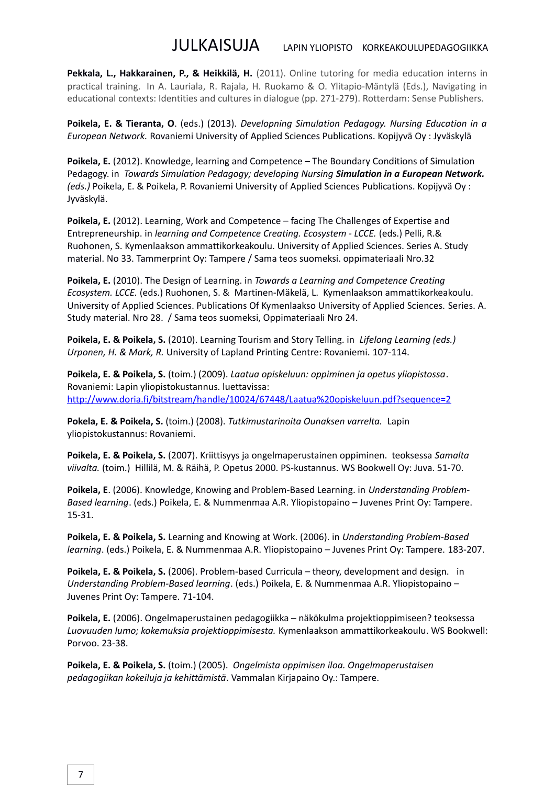**Pekkala, L., Hakkarainen, P., & Heikkilä, H.** (2011). Online tutoring for media education interns in practical training. In A. Lauriala, R. Rajala, H. Ruokamo & O. Ylitapio-Mäntylä (Eds.), Navigating in educational contexts: Identities and cultures in dialogue (pp. 271-279). Rotterdam: Sense Publishers.

**Poikela, E. & Tieranta, O**. (eds.) (2013). *Developning Simulation Pedagogy. Nursing Education in a European Network.* Rovaniemi University of Applied Sciences Publications. Kopijyvä Oy : Jyväskylä

**Poikela, E.** (2012). Knowledge, learning and Competence – The Boundary Conditions of Simulation Pedagogy. in *Towards Simulation Pedagogy; developing Nursing Simulation in a European Network. (eds.)* Poikela, E. & Poikela, P. Rovaniemi University of Applied Sciences Publications. Kopijyvä Oy : Jyväskylä.

**Poikela, E.** (2012). Learning, Work and Competence – facing The Challenges of Expertise and Entrepreneurship. in *learning and Competence Creating. Ecosystem - LCCE.* (eds.) Pelli, R.& Ruohonen, S. Kymenlaakson ammattikorkeakoulu. University of Applied Sciences. Series A. Study material. No 33. Tammerprint Oy: Tampere / Sama teos suomeksi. oppimateriaali Nro.32

**Poikela, E.** (2010). The Design of Learning. in *Towards a Learning and Competence Creating Ecosystem. LCCE.* (eds.) Ruohonen, S. & Martinen-Mäkelä, L. Kymenlaakson ammattikorkeakoulu. University of Applied Sciences. Publications Of Kymenlaakso University of Applied Sciences. Series. A. Study material. Nro 28. / Sama teos suomeksi, Oppimateriaali Nro 24.

**Poikela, E. & Poikela, S.** (2010). Learning Tourism and Story Telling. in *Lifelong Learning (eds.) Urponen, H. & Mark, R.* University of Lapland Printing Centre: Rovaniemi. 107-114.

**Poikela, E. & Poikela, S.** (toim.) (2009). *Laatua opiskeluun: oppiminen ja opetus yliopistossa*. Rovaniemi: Lapin yliopistokustannus. luettavissa: [http://www.doria.fi/bitstream/handle/10024/67448/Laatua%20opiskeluun.pdf?sequence=2](http://www.doria.fi/bitstream/handle/10024/67448/Laatuaopiskeluun.pdf?sequence=2)

**Pokela, E. & Poikela, S.** (toim.) (2008). *Tutkimustarinoita Ounaksen varrelta.* Lapin yliopistokustannus: Rovaniemi.

**Poikela, E. & Poikela, S.** (2007). Kriittisyys ja ongelmaperustainen oppiminen. teoksessa *Samalta viivalta.* (toim.) Hillilä, M. & Räihä, P. Opetus 2000. PS-kustannus. WS Bookwell Oy: Juva. 51-70.

**Poikela, E**. (2006). Knowledge, Knowing and Problem-Based Learning. in *Understanding Problem-Based learning*. (eds.) Poikela, E. & Nummenmaa A.R. Yliopistopaino – Juvenes Print Oy: Tampere. 15-31.

**Poikela, E. & Poikela, S.** Learning and Knowing at Work. (2006). in *Understanding Problem-Based learning*. (eds.) Poikela, E. & Nummenmaa A.R. Yliopistopaino – Juvenes Print Oy: Tampere. 183-207.

**Poikela, E. & Poikela, S.** (2006). Problem-based Curricula – theory, development and design. in *Understanding Problem-Based learning*. (eds.) Poikela, E. & Nummenmaa A.R. Yliopistopaino – Juvenes Print Oy: Tampere. 71-104.

**Poikela, E.** (2006). Ongelmaperustainen pedagogiikka – näkökulma projektioppimiseen? teoksessa *Luovuuden lumo; kokemuksia projektioppimisesta.* Kymenlaakson ammattikorkeakoulu. WS Bookwell: Porvoo. 23-38.

**Poikela, E. & Poikela, S.** (toim.) (2005). *Ongelmista oppimisen iloa. Ongelmaperustaisen pedagogiikan kokeiluja ja kehittämistä*. Vammalan Kirjapaino Oy.: Tampere.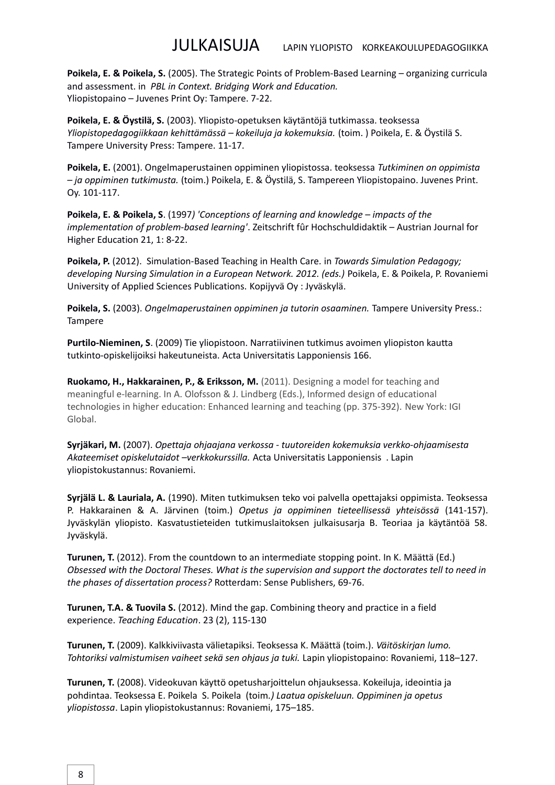**Poikela, E. & Poikela, S.** (2005). The Strategic Points of Problem-Based Learning – organizing curricula and assessment. in *PBL in Context. Bridging Work and Education.* Yliopistopaino – Juvenes Print Oy: Tampere. 7-22.

**Poikela, E. & Öystilä, S.** (2003). Yliopisto-opetuksen käytäntöjä tutkimassa. teoksessa *Yliopistopedagogiikkaan kehittämässä – kokeiluja ja kokemuksia.* (toim. ) Poikela, E. & Öystilä S. Tampere University Press: Tampere. 11-17.

**Poikela, E.** (2001). Ongelmaperustainen oppiminen yliopistossa. teoksessa *Tutkiminen on oppimista – ja oppiminen tutkimusta.* (toim.) Poikela, E. & Öystilä, S. Tampereen Yliopistopaino. Juvenes Print. Oy. 101-117.

**Poikela, E. & Poikela, S**. (1997*) 'Conceptions of learning and knowledge – impacts of the implementation of problem-based learning'*. Zeitschrift fûr Hochschuldidaktik – Austrian Journal for Higher Education 21, 1: 8-22.

**Poikela, P.** (2012). Simulation-Based Teaching in Health Care*.* in *Towards Simulation Pedagogy; developing Nursing Simulation in a European Network. 2012. (eds.)* Poikela, E. & Poikela, P. Rovaniemi University of Applied Sciences Publications. Kopijyvä Oy : Jyväskylä.

**Poikela, S.** (2003). *Ongelmaperustainen oppiminen ja tutorin osaaminen.* Tampere University Press.: Tampere

**Purtilo-Nieminen, S**. (2009) Tie yliopistoon. Narratiivinen tutkimus avoimen yliopiston kautta tutkinto-opiskelijoiksi hakeutuneista. Acta Universitatis Lapponiensis 166.

**Ruokamo, H., Hakkarainen, P., & Eriksson, M.** (2011). Designing a model for teaching and meaningful e-learning. In A. Olofsson & J. Lindberg (Eds.), Informed design of educational technologies in higher education: Enhanced learning and teaching (pp. 375-392). New York: IGI Global.

**Syrjäkari, M.** (2007). *Opettaja ohjaajana verkossa - tuutoreiden kokemuksia verkko-ohjaamisesta Akateemiset opiskelutaidot –verkkokurssilla.* Acta Universitatis Lapponiensis . Lapin yliopistokustannus: Rovaniemi.

**Syrjälä L. & Lauriala, A.** (1990). Miten tutkimuksen teko voi palvella opettajaksi oppimista. Teoksessa P. Hakkarainen & A. Järvinen (toim.) *Opetus ja oppiminen tieteellisessä yhteisössä* (141-157). Jyväskylän yliopisto. Kasvatustieteiden tutkimuslaitoksen julkaisusarja B. Teoriaa ja käytäntöä 58. Jyväskylä.

**Turunen, T.** (2012). From the countdown to an intermediate stopping point. In K. Määttä (Ed.) *Obsessed with the Doctoral Theses. What is the supervision and support the doctorates tell to need in the phases of dissertation process?* Rotterdam: Sense Publishers, 69-76.

**Turunen, T.A. & Tuovila S.** (2012). Mind the gap. Combining theory and practice in a field experience. *Teaching Education*. 23 (2), 115-130

**Turunen, T.** (2009). Kalkkiviivasta välietapiksi. Teoksessa K. Määttä (toim.). *Väitöskirjan lumo. Tohtoriksi valmistumisen vaiheet sekä sen ohjaus ja tuki.* Lapin yliopistopaino: Rovaniemi, 118–127.

**Turunen, T.** (2008). Videokuvan käyttö opetusharjoittelun ohjauksessa. Kokeiluja, ideointia ja pohdintaa. Teoksessa E. Poikela S. Poikela (toim*.) Laatua opiskeluun. Oppiminen ja opetus yliopistossa*. Lapin yliopistokustannus: Rovaniemi, 175–185.